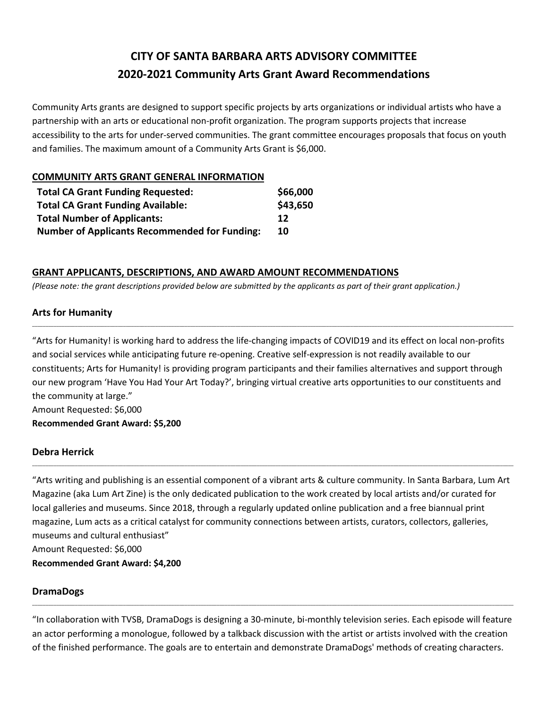# **CITY OF SANTA BARBARA ARTS ADVISORY COMMITTEE 2020-2021 Community Arts Grant Award Recommendations**

Community Arts grants are designed to support specific projects by arts organizations or individual artists who have a partnership with an arts or educational non-profit organization. The program supports projects that increase accessibility to the arts for under-served communities. The grant committee encourages proposals that focus on youth and families. The maximum amount of a Community Arts Grant is \$6,000.

## **COMMUNITY ARTS GRANT GENERAL INFORMATION**

| <b>Total CA Grant Funding Requested:</b>             | \$66,000 |
|------------------------------------------------------|----------|
| <b>Total CA Grant Funding Available:</b>             | \$43,650 |
| <b>Total Number of Applicants:</b>                   | 12       |
| <b>Number of Applicants Recommended for Funding:</b> | 10       |

## **GRANT APPLICANTS, DESCRIPTIONS, AND AWARD AMOUNT RECOMMENDATIONS**

*(Please note: the grant descriptions provided below are submitted by the applicants as part of their grant application.)*

## **Arts for Humanity**

"Arts for Humanity! is working hard to address the life-changing impacts of COVID19 and its effect on local non-profits and social services while anticipating future re-opening. Creative self-expression is not readily available to our constituents; Arts for Humanity! is providing program participants and their families alternatives and support through our new program 'Have You Had Your Art Today?', bringing virtual creative arts opportunities to our constituents and the community at large." Amount Requested: \$6,000 **Recommended Grant Award: \$5,200**

\_\_\_\_\_\_\_\_\_\_\_\_\_\_\_\_\_\_\_\_\_\_\_\_\_\_\_\_\_\_\_\_\_\_\_\_\_\_\_\_\_\_\_\_\_\_\_\_\_\_\_\_\_\_\_\_\_\_\_\_\_\_\_\_\_\_\_\_\_\_\_\_\_\_\_\_\_\_\_\_\_\_\_\_\_\_\_\_\_\_\_\_\_\_\_\_\_\_\_\_\_\_\_\_\_\_\_\_\_\_\_\_\_\_\_\_\_\_\_\_\_\_\_\_\_\_\_\_\_\_\_\_\_\_\_\_\_\_\_\_\_\_\_\_\_\_\_\_\_\_\_\_\_\_\_\_\_\_\_\_\_\_\_\_\_\_\_\_\_\_\_\_\_\_\_\_\_\_\_\_

#### **Debra Herrick**

"Arts writing and publishing is an essential component of a vibrant arts & culture community. In Santa Barbara, Lum Art Magazine (aka Lum Art Zine) is the only dedicated publication to the work created by local artists and/or curated for local galleries and museums. Since 2018, through a regularly updated online publication and a free biannual print magazine, Lum acts as a critical catalyst for community connections between artists, curators, collectors, galleries, museums and cultural enthusiast"

\_\_\_\_\_\_\_\_\_\_\_\_\_\_\_\_\_\_\_\_\_\_\_\_\_\_\_\_\_\_\_\_\_\_\_\_\_\_\_\_\_\_\_\_\_\_\_\_\_\_\_\_\_\_\_\_\_\_\_\_\_\_\_\_\_\_\_\_\_\_\_\_\_\_\_\_\_\_\_\_\_\_\_\_\_\_\_\_\_\_\_\_\_\_\_\_\_\_\_\_\_\_\_\_\_\_\_\_\_\_\_\_\_\_\_\_\_\_\_\_\_\_\_\_\_\_\_\_\_\_\_\_\_\_\_\_\_\_\_\_\_\_\_\_\_\_\_\_\_\_\_\_\_\_\_\_\_\_\_\_\_\_\_\_\_\_\_\_\_\_\_\_\_\_\_\_\_\_\_\_

Amount Requested: \$6,000

**Recommended Grant Award: \$4,200**

## **DramaDogs**

"In collaboration with TVSB, DramaDogs is designing a 30-minute, bi-monthly television series. Each episode will feature an actor performing a monologue, followed by a talkback discussion with the artist or artists involved with the creation of the finished performance. The goals are to entertain and demonstrate DramaDogs' methods of creating characters.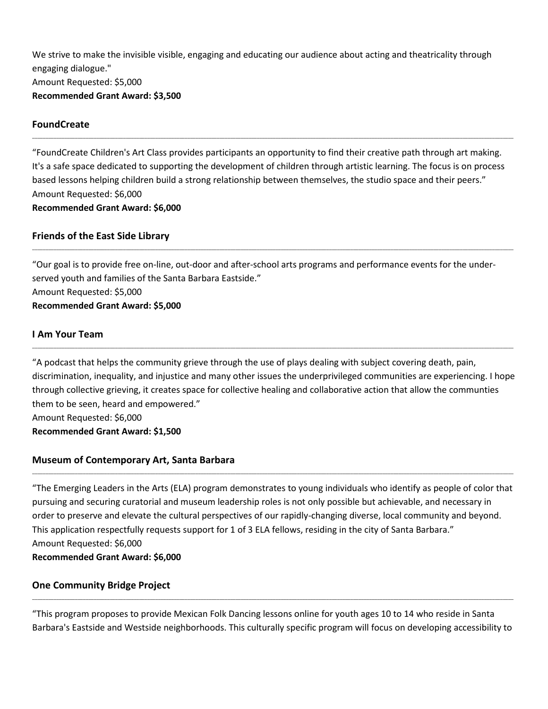We strive to make the invisible visible, engaging and educating our audience about acting and theatricality through engaging dialogue." Amount Requested: \$5,000 **Recommended Grant Award: \$3,500**

## **FoundCreate**

"FoundCreate Children's Art Class provides participants an opportunity to find their creative path through art making. It's a safe space dedicated to supporting the development of children through artistic learning. The focus is on process based lessons helping children build a strong relationship between themselves, the studio space and their peers." Amount Requested: \$6,000 **Recommended Grant Award: \$6,000**

\_\_\_\_\_\_\_\_\_\_\_\_\_\_\_\_\_\_\_\_\_\_\_\_\_\_\_\_\_\_\_\_\_\_\_\_\_\_\_\_\_\_\_\_\_\_\_\_\_\_\_\_\_\_\_\_\_\_\_\_\_\_\_\_\_\_\_\_\_\_\_\_\_\_\_\_\_\_\_\_\_\_\_\_\_\_\_\_\_\_\_\_\_\_\_\_\_\_\_\_\_\_\_\_\_\_\_\_\_\_\_\_\_\_\_\_\_\_\_\_\_\_\_\_\_\_\_\_\_\_\_\_\_\_\_\_\_\_\_\_\_\_\_\_\_\_\_\_\_\_\_\_\_\_\_\_\_\_\_\_\_\_\_\_\_\_\_\_\_\_\_\_\_\_\_\_\_\_\_\_

## **Friends of the East Side Library**

"Our goal is to provide free on-line, out-door and after-school arts programs and performance events for the underserved youth and families of the Santa Barbara Eastside." Amount Requested: \$5,000 **Recommended Grant Award: \$5,000**

\_\_\_\_\_\_\_\_\_\_\_\_\_\_\_\_\_\_\_\_\_\_\_\_\_\_\_\_\_\_\_\_\_\_\_\_\_\_\_\_\_\_\_\_\_\_\_\_\_\_\_\_\_\_\_\_\_\_\_\_\_\_\_\_\_\_\_\_\_\_\_\_\_\_\_\_\_\_\_\_\_\_\_\_\_\_\_\_\_\_\_\_\_\_\_\_\_\_\_\_\_\_\_\_\_\_\_\_\_\_\_\_\_\_\_\_\_\_\_\_\_\_\_\_\_\_\_\_\_\_\_\_\_\_\_\_\_\_\_\_\_\_\_\_\_\_\_\_\_\_\_\_\_\_\_\_\_\_\_\_\_\_\_\_\_\_\_\_\_\_\_\_\_\_\_\_\_\_\_\_

## **I Am Your Team**

"A podcast that helps the community grieve through the use of plays dealing with subject covering death, pain, discrimination, inequality, and injustice and many other issues the underprivileged communities are experiencing. I hope through collective grieving, it creates space for collective healing and collaborative action that allow the communties them to be seen, heard and empowered." Amount Requested: \$6,000

**Recommended Grant Award: \$1,500**

## **Museum of Contemporary Art, Santa Barbara**

"The Emerging Leaders in the Arts (ELA) program demonstrates to young individuals who identify as people of color that pursuing and securing curatorial and museum leadership roles is not only possible but achievable, and necessary in order to preserve and elevate the cultural perspectives of our rapidly-changing diverse, local community and beyond. This application respectfully requests support for 1 of 3 ELA fellows, residing in the city of Santa Barbara." Amount Requested: \$6,000

\_\_\_\_\_\_\_\_\_\_\_\_\_\_\_\_\_\_\_\_\_\_\_\_\_\_\_\_\_\_\_\_\_\_\_\_\_\_\_\_\_\_\_\_\_\_\_\_\_\_\_\_\_\_\_\_\_\_\_\_\_\_\_\_\_\_\_\_\_\_\_\_\_\_\_\_\_\_\_\_\_\_\_\_\_\_\_\_\_\_\_\_\_\_\_\_\_\_\_\_\_\_\_\_\_\_\_\_\_\_\_\_\_\_\_\_\_\_\_\_\_\_\_\_\_\_\_\_\_\_\_\_\_\_\_\_\_\_\_\_\_\_\_\_\_\_\_\_\_\_\_\_\_\_\_\_\_\_\_\_\_\_\_\_\_\_\_\_\_\_\_\_\_\_\_\_\_\_\_\_

## **Recommended Grant Award: \$6,000**

## **One Community Bridge Project**

"This program proposes to provide Mexican Folk Dancing lessons online for youth ages 10 to 14 who reside in Santa Barbara's Eastside and Westside neighborhoods. This culturally specific program will focus on developing accessibility to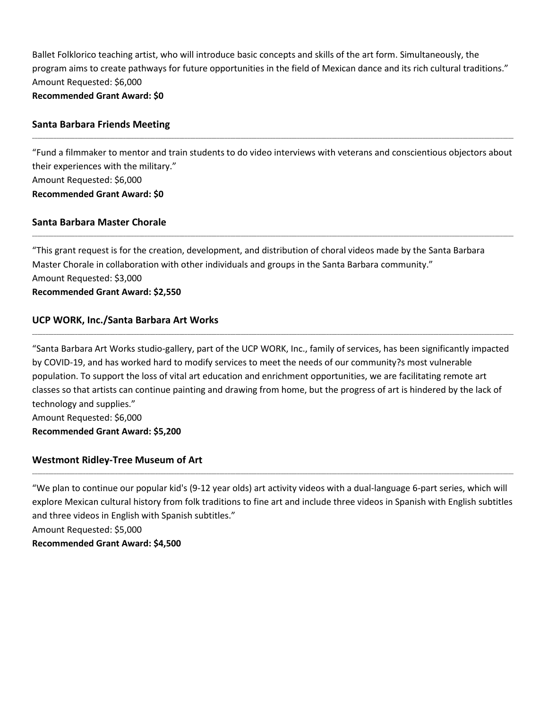Ballet Folklorico teaching artist, who will introduce basic concepts and skills of the art form. Simultaneously, the program aims to create pathways for future opportunities in the field of Mexican dance and its rich cultural traditions." Amount Requested: \$6,000

## **Recommended Grant Award: \$0**

#### **Santa Barbara Friends Meeting**

"Fund a filmmaker to mentor and train students to do video interviews with veterans and conscientious objectors about their experiences with the military." Amount Requested: \$6,000 **Recommended Grant Award: \$0**

\_\_\_\_\_\_\_\_\_\_\_\_\_\_\_\_\_\_\_\_\_\_\_\_\_\_\_\_\_\_\_\_\_\_\_\_\_\_\_\_\_\_\_\_\_\_\_\_\_\_\_\_\_\_\_\_\_\_\_\_\_\_\_\_\_\_\_\_\_\_\_\_\_\_\_\_\_\_\_\_\_\_\_\_\_\_\_\_\_\_\_\_\_\_\_\_\_\_\_\_\_\_\_\_\_\_\_\_\_\_\_\_\_\_\_\_\_\_\_\_\_\_\_\_\_\_\_\_\_\_\_\_\_\_\_\_\_\_\_\_\_\_\_\_\_\_\_\_\_\_\_\_\_\_\_\_\_\_\_\_\_\_\_\_\_\_\_\_\_\_\_\_\_\_\_\_\_\_\_\_

\_\_\_\_\_\_\_\_\_\_\_\_\_\_\_\_\_\_\_\_\_\_\_\_\_\_\_\_\_\_\_\_\_\_\_\_\_\_\_\_\_\_\_\_\_\_\_\_\_\_\_\_\_\_\_\_\_\_\_\_\_\_\_\_\_\_\_\_\_\_\_\_\_\_\_\_\_\_\_\_\_\_\_\_\_\_\_\_\_\_\_\_\_\_\_\_\_\_\_\_\_\_\_\_\_\_\_\_\_\_\_\_\_\_\_\_\_\_\_\_\_\_\_\_\_\_\_\_\_\_\_\_\_\_\_\_\_\_\_\_\_\_\_\_\_\_\_\_\_\_\_\_\_\_\_\_\_\_\_\_\_\_\_\_\_\_\_\_\_\_\_\_\_\_\_\_\_\_\_\_

#### **Santa Barbara Master Chorale**

"This grant request is for the creation, development, and distribution of choral videos made by the Santa Barbara Master Chorale in collaboration with other individuals and groups in the Santa Barbara community." Amount Requested: \$3,000 **Recommended Grant Award: \$2,550**

## **UCP WORK, Inc./Santa Barbara Art Works**

"Santa Barbara Art Works studio-gallery, part of the UCP WORK, Inc., family of services, has been significantly impacted by COVID-19, and has worked hard to modify services to meet the needs of our community?s most vulnerable population. To support the loss of vital art education and enrichment opportunities, we are facilitating remote art classes so that artists can continue painting and drawing from home, but the progress of art is hindered by the lack of technology and supplies." Amount Requested: \$6,000

\_\_\_\_\_\_\_\_\_\_\_\_\_\_\_\_\_\_\_\_\_\_\_\_\_\_\_\_\_\_\_\_\_\_\_\_\_\_\_\_\_\_\_\_\_\_\_\_\_\_\_\_\_\_\_\_\_\_\_\_\_\_\_\_\_\_\_\_\_\_\_\_\_\_\_\_\_\_\_\_\_\_\_\_\_\_\_\_\_\_\_\_\_\_\_\_\_\_\_\_\_\_\_\_\_\_\_\_\_\_\_\_\_\_\_\_\_\_\_\_\_\_\_\_\_\_\_\_\_\_\_\_\_\_\_\_\_\_\_\_\_\_\_\_\_\_\_\_\_\_\_\_\_\_\_\_\_\_\_\_\_\_\_\_\_\_\_\_\_\_\_\_\_\_\_\_\_\_\_\_

**Recommended Grant Award: \$5,200**

#### **Westmont Ridley-Tree Museum of Art**

"We plan to continue our popular kid's (9-12 year olds) art activity videos with a dual-language 6-part series, which will explore Mexican cultural history from folk traditions to fine art and include three videos in Spanish with English subtitles and three videos in English with Spanish subtitles."

\_\_\_\_\_\_\_\_\_\_\_\_\_\_\_\_\_\_\_\_\_\_\_\_\_\_\_\_\_\_\_\_\_\_\_\_\_\_\_\_\_\_\_\_\_\_\_\_\_\_\_\_\_\_\_\_\_\_\_\_\_\_\_\_\_\_\_\_\_\_\_\_\_\_\_\_\_\_\_\_\_\_\_\_\_\_\_\_\_\_\_\_\_\_\_\_\_\_\_\_\_\_\_\_\_\_\_\_\_\_\_\_\_\_\_\_\_\_\_\_\_\_\_\_\_\_\_\_\_\_\_\_\_\_\_\_\_\_\_\_\_\_\_\_\_\_\_\_\_\_\_\_\_\_\_\_\_\_\_\_\_\_\_\_\_\_\_\_\_\_\_\_\_\_\_\_\_\_\_\_

Amount Requested: \$5,000

**Recommended Grant Award: \$4,500**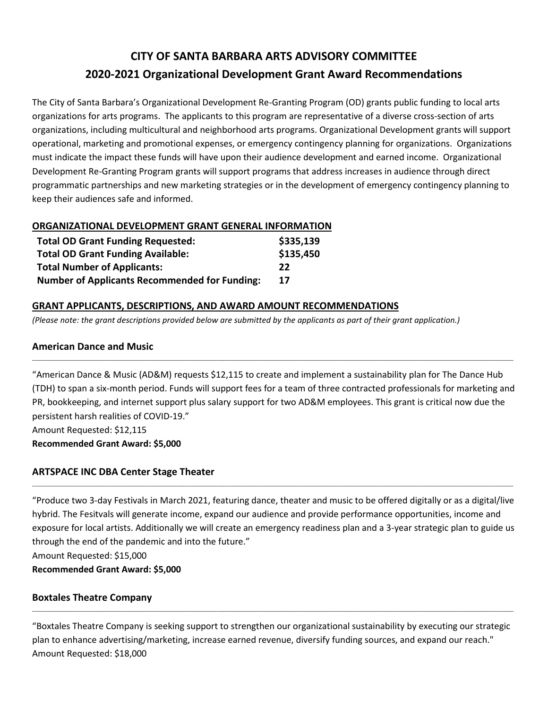# **CITY OF SANTA BARBARA ARTS ADVISORY COMMITTEE 2020-2021 Organizational Development Grant Award Recommendations**

The City of Santa Barbara's Organizational Development Re-Granting Program (OD) grants public funding to local arts organizations for arts programs. The applicants to this program are representative of a diverse cross-section of arts organizations, including multicultural and neighborhood arts programs. Organizational Development grants will support operational, marketing and promotional expenses, or emergency contingency planning for organizations. Organizations must indicate the impact these funds will have upon their audience development and earned income. Organizational Development Re-Granting Program grants will support programs that address increases in audience through direct programmatic partnerships and new marketing strategies or in the development of emergency contingency planning to keep their audiences safe and informed.

## **ORGANIZATIONAL DEVELOPMENT GRANT GENERAL INFORMATION**

| <b>Total OD Grant Funding Requested:</b>             | \$335,139 |
|------------------------------------------------------|-----------|
| <b>Total OD Grant Funding Available:</b>             | \$135,450 |
| <b>Total Number of Applicants:</b>                   | 22        |
| <b>Number of Applicants Recommended for Funding:</b> | 17        |

## **GRANT APPLICANTS, DESCRIPTIONS, AND AWARD AMOUNT RECOMMENDATIONS**

*(Please note: the grant descriptions provided below are submitted by the applicants as part of their grant application.)*

## **American Dance and Music**

"American Dance & Music (AD&M) requests \$12,115 to create and implement a sustainability plan for The Dance Hub (TDH) to span a six-month period. Funds will support fees for a team of three contracted professionals for marketing and PR, bookkeeping, and internet support plus salary support for two AD&M employees. This grant is critical now due the persistent harsh realities of COVID-19."

\_\_\_\_\_\_\_\_\_\_\_\_\_\_\_\_\_\_\_\_\_\_\_\_\_\_\_\_\_\_\_\_\_\_\_\_\_\_\_\_\_\_\_\_\_\_\_\_\_\_\_\_\_\_\_\_\_\_\_\_\_\_\_\_\_\_\_\_\_\_\_\_\_\_\_\_\_\_\_\_\_\_\_\_\_\_\_\_\_\_\_\_\_\_\_\_\_\_\_\_\_\_\_\_\_\_\_\_\_\_\_\_\_\_\_\_\_\_\_\_\_\_\_\_\_\_\_\_\_\_\_\_\_\_\_\_\_\_\_\_\_\_\_\_\_\_\_\_\_\_\_\_\_\_\_\_\_\_\_\_\_\_\_\_\_\_\_\_\_\_\_\_\_\_\_\_\_\_\_\_

Amount Requested: \$12,115

**Recommended Grant Award: \$5,000**

## **ARTSPACE INC DBA Center Stage Theater**

"Produce two 3-day Festivals in March 2021, featuring dance, theater and music to be offered digitally or as a digital/live hybrid. The Fesitvals will generate income, expand our audience and provide performance opportunities, income and exposure for local artists. Additionally we will create an emergency readiness plan and a 3-year strategic plan to guide us through the end of the pandemic and into the future."

\_\_\_\_\_\_\_\_\_\_\_\_\_\_\_\_\_\_\_\_\_\_\_\_\_\_\_\_\_\_\_\_\_\_\_\_\_\_\_\_\_\_\_\_\_\_\_\_\_\_\_\_\_\_\_\_\_\_\_\_\_\_\_\_\_\_\_\_\_\_\_\_\_\_\_\_\_\_\_\_\_\_\_\_\_\_\_\_\_\_\_\_\_\_\_\_\_\_\_\_\_\_\_\_\_\_\_\_\_\_\_\_\_\_\_\_\_\_\_\_\_\_\_\_\_\_\_\_\_\_\_\_\_\_\_\_\_\_\_\_\_\_\_\_\_\_\_\_\_\_\_\_\_\_\_\_\_\_\_\_\_\_\_\_\_\_\_\_\_\_\_\_\_\_\_\_\_\_\_\_

Amount Requested: \$15,000

**Recommended Grant Award: \$5,000**

## **Boxtales Theatre Company**

"Boxtales Theatre Company is seeking support to strengthen our organizational sustainability by executing our strategic plan to enhance advertising/marketing, increase earned revenue, diversify funding sources, and expand our reach." Amount Requested: \$18,000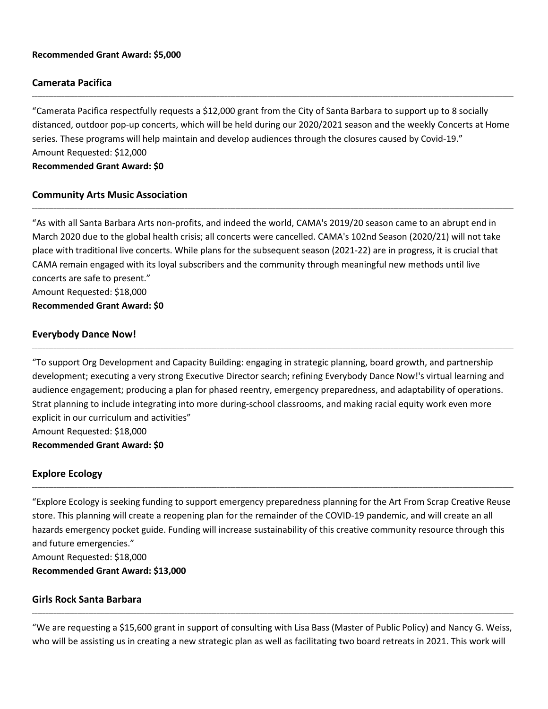#### **Recommended Grant Award: \$5,000**

#### **Camerata Pacifica**

"Camerata Pacifica respectfully requests a \$12,000 grant from the City of Santa Barbara to support up to 8 socially distanced, outdoor pop-up concerts, which will be held during our 2020/2021 season and the weekly Concerts at Home series. These programs will help maintain and develop audiences through the closures caused by Covid-19." Amount Requested: \$12,000 **Recommended Grant Award: \$0**

\_\_\_\_\_\_\_\_\_\_\_\_\_\_\_\_\_\_\_\_\_\_\_\_\_\_\_\_\_\_\_\_\_\_\_\_\_\_\_\_\_\_\_\_\_\_\_\_\_\_\_\_\_\_\_\_\_\_\_\_\_\_\_\_\_\_\_\_\_\_\_\_\_\_\_\_\_\_\_\_\_\_\_\_\_\_\_\_\_\_\_\_\_\_\_\_\_\_\_\_\_\_\_\_\_\_\_\_\_\_\_\_\_\_\_\_\_\_\_\_\_\_\_\_\_\_\_\_\_\_\_\_\_\_\_\_\_\_\_\_\_\_\_\_\_\_\_\_\_\_\_\_\_\_\_\_\_\_\_\_\_\_\_\_\_\_\_\_\_\_\_\_\_\_\_\_\_\_\_\_

\_\_\_\_\_\_\_\_\_\_\_\_\_\_\_\_\_\_\_\_\_\_\_\_\_\_\_\_\_\_\_\_\_\_\_\_\_\_\_\_\_\_\_\_\_\_\_\_\_\_\_\_\_\_\_\_\_\_\_\_\_\_\_\_\_\_\_\_\_\_\_\_\_\_\_\_\_\_\_\_\_\_\_\_\_\_\_\_\_\_\_\_\_\_\_\_\_\_\_\_\_\_\_\_\_\_\_\_\_\_\_\_\_\_\_\_\_\_\_\_\_\_\_\_\_\_\_\_\_\_\_\_\_\_\_\_\_\_\_\_\_\_\_\_\_\_\_\_\_\_\_\_\_\_\_\_\_\_\_\_\_\_\_\_\_\_\_\_\_\_\_\_\_\_\_\_\_\_\_\_

## **Community Arts Music Association**

"As with all Santa Barbara Arts non-profits, and indeed the world, CAMA's 2019/20 season came to an abrupt end in March 2020 due to the global health crisis; all concerts were cancelled. CAMA's 102nd Season (2020/21) will not take place with traditional live concerts. While plans for the subsequent season (2021-22) are in progress, it is crucial that CAMA remain engaged with its loyal subscribers and the community through meaningful new methods until live concerts are safe to present." Amount Requested: \$18,000 **Recommended Grant Award: \$0**

#### **Everybody Dance Now!**

"To support Org Development and Capacity Building: engaging in strategic planning, board growth, and partnership development; executing a very strong Executive Director search; refining Everybody Dance Now!'s virtual learning and audience engagement; producing a plan for phased reentry, emergency preparedness, and adaptability of operations. Strat planning to include integrating into more during-school classrooms, and making racial equity work even more explicit in our curriculum and activities" Amount Requested: \$18,000

**Recommended Grant Award: \$0**

#### **Explore Ecology**

"Explore Ecology is seeking funding to support emergency preparedness planning for the Art From Scrap Creative Reuse store. This planning will create a reopening plan for the remainder of the COVID-19 pandemic, and will create an all hazards emergency pocket guide. Funding will increase sustainability of this creative community resource through this and future emergencies." Amount Requested: \$18,000

\_\_\_\_\_\_\_\_\_\_\_\_\_\_\_\_\_\_\_\_\_\_\_\_\_\_\_\_\_\_\_\_\_\_\_\_\_\_\_\_\_\_\_\_\_\_\_\_\_\_\_\_\_\_\_\_\_\_\_\_\_\_\_\_\_\_\_\_\_\_\_\_\_\_\_\_\_\_\_\_\_\_\_\_\_\_\_\_\_\_\_\_\_\_\_\_\_\_\_\_\_\_\_\_\_\_\_\_\_\_\_\_\_\_\_\_\_\_\_\_\_\_\_\_\_\_\_\_\_\_\_\_\_\_\_\_\_\_\_\_\_\_\_\_\_\_\_\_\_\_\_\_\_\_\_\_\_\_\_\_\_\_\_\_\_\_\_\_\_\_\_\_\_\_\_\_\_\_\_\_

**Recommended Grant Award: \$13,000**

#### **Girls Rock Santa Barbara**

"We are requesting a \$15,600 grant in support of consulting with Lisa Bass (Master of Public Policy) and Nancy G. Weiss, who will be assisting us in creating a new strategic plan as well as facilitating two board retreats in 2021. This work will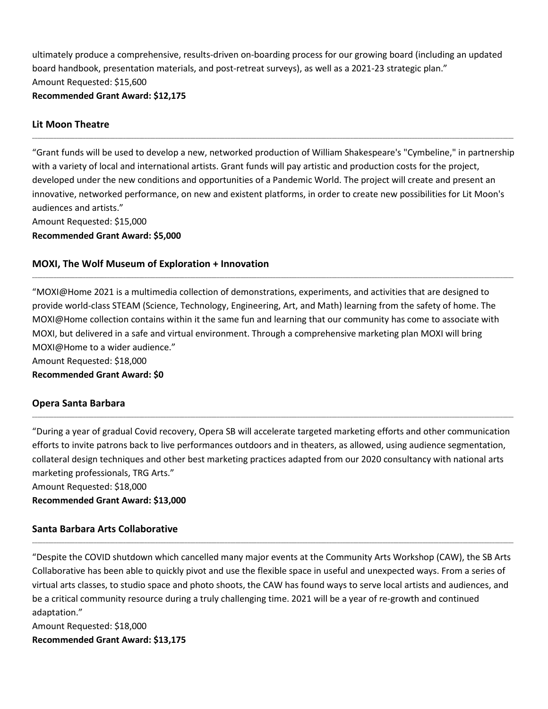ultimately produce a comprehensive, results-driven on-boarding process for our growing board (including an updated board handbook, presentation materials, and post-retreat surveys), as well as a 2021-23 strategic plan." Amount Requested: \$15,600 **Recommended Grant Award: \$12,175**

## **Lit Moon Theatre**

"Grant funds will be used to develop a new, networked production of William Shakespeare's "Cymbeline," in partnership with a variety of local and international artists. Grant funds will pay artistic and production costs for the project, developed under the new conditions and opportunities of a Pandemic World. The project will create and present an innovative, networked performance, on new and existent platforms, in order to create new possibilities for Lit Moon's audiences and artists."

\_\_\_\_\_\_\_\_\_\_\_\_\_\_\_\_\_\_\_\_\_\_\_\_\_\_\_\_\_\_\_\_\_\_\_\_\_\_\_\_\_\_\_\_\_\_\_\_\_\_\_\_\_\_\_\_\_\_\_\_\_\_\_\_\_\_\_\_\_\_\_\_\_\_\_\_\_\_\_\_\_\_\_\_\_\_\_\_\_\_\_\_\_\_\_\_\_\_\_\_\_\_\_\_\_\_\_\_\_\_\_\_\_\_\_\_\_\_\_\_\_\_\_\_\_\_\_\_\_\_\_\_\_\_\_\_\_\_\_\_\_\_\_\_\_\_\_\_\_\_\_\_\_\_\_\_\_\_\_\_\_\_\_\_\_\_\_\_\_\_\_\_\_\_\_\_\_\_\_\_

Amount Requested: \$15,000

**Recommended Grant Award: \$5,000**

## **MOXI, The Wolf Museum of Exploration + Innovation**

"MOXI@Home 2021 is a multimedia collection of demonstrations, experiments, and activities that are designed to provide world-class STEAM (Science, Technology, Engineering, Art, and Math) learning from the safety of home. The MOXI@Home collection contains within it the same fun and learning that our community has come to associate with MOXI, but delivered in a safe and virtual environment. Through a comprehensive marketing plan MOXI will bring MOXI@Home to a wider audience."

\_\_\_\_\_\_\_\_\_\_\_\_\_\_\_\_\_\_\_\_\_\_\_\_\_\_\_\_\_\_\_\_\_\_\_\_\_\_\_\_\_\_\_\_\_\_\_\_\_\_\_\_\_\_\_\_\_\_\_\_\_\_\_\_\_\_\_\_\_\_\_\_\_\_\_\_\_\_\_\_\_\_\_\_\_\_\_\_\_\_\_\_\_\_\_\_\_\_\_\_\_\_\_\_\_\_\_\_\_\_\_\_\_\_\_\_\_\_\_\_\_\_\_\_\_\_\_\_\_\_\_\_\_\_\_\_\_\_\_\_\_\_\_\_\_\_\_\_\_\_\_\_\_\_\_\_\_\_\_\_\_\_\_\_\_\_\_\_\_\_\_\_\_\_\_\_\_\_\_\_

Amount Requested: \$18,000

**Recommended Grant Award: \$0**

#### **Opera Santa Barbara**

"During a year of gradual Covid recovery, Opera SB will accelerate targeted marketing efforts and other communication efforts to invite patrons back to live performances outdoors and in theaters, as allowed, using audience segmentation, collateral design techniques and other best marketing practices adapted from our 2020 consultancy with national arts marketing professionals, TRG Arts."

\_\_\_\_\_\_\_\_\_\_\_\_\_\_\_\_\_\_\_\_\_\_\_\_\_\_\_\_\_\_\_\_\_\_\_\_\_\_\_\_\_\_\_\_\_\_\_\_\_\_\_\_\_\_\_\_\_\_\_\_\_\_\_\_\_\_\_\_\_\_\_\_\_\_\_\_\_\_\_\_\_\_\_\_\_\_\_\_\_\_\_\_\_\_\_\_\_\_\_\_\_\_\_\_\_\_\_\_\_\_\_\_\_\_\_\_\_\_\_\_\_\_\_\_\_\_\_\_\_\_\_\_\_\_\_\_\_\_\_\_\_\_\_\_\_\_\_\_\_\_\_\_\_\_\_\_\_\_\_\_\_\_\_\_\_\_\_\_\_\_\_\_\_\_\_\_\_\_\_\_

Amount Requested: \$18,000 **Recommended Grant Award: \$13,000**

#### **Santa Barbara Arts Collaborative**

"Despite the COVID shutdown which cancelled many major events at the Community Arts Workshop (CAW), the SB Arts Collaborative has been able to quickly pivot and use the flexible space in useful and unexpected ways. From a series of virtual arts classes, to studio space and photo shoots, the CAW has found ways to serve local artists and audiences, and be a critical community resource during a truly challenging time. 2021 will be a year of re-growth and continued adaptation."

\_\_\_\_\_\_\_\_\_\_\_\_\_\_\_\_\_\_\_\_\_\_\_\_\_\_\_\_\_\_\_\_\_\_\_\_\_\_\_\_\_\_\_\_\_\_\_\_\_\_\_\_\_\_\_\_\_\_\_\_\_\_\_\_\_\_\_\_\_\_\_\_\_\_\_\_\_\_\_\_\_\_\_\_\_\_\_\_\_\_\_\_\_\_\_\_\_\_\_\_\_\_\_\_\_\_\_\_\_\_\_\_\_\_\_\_\_\_\_\_\_\_\_\_\_\_\_\_\_\_\_\_\_\_\_\_\_\_\_\_\_\_\_\_\_\_\_\_\_\_\_\_\_\_\_\_\_\_\_\_\_\_\_\_\_\_\_\_\_\_\_\_\_\_\_\_\_\_\_\_

Amount Requested: \$18,000 **Recommended Grant Award: \$13,175**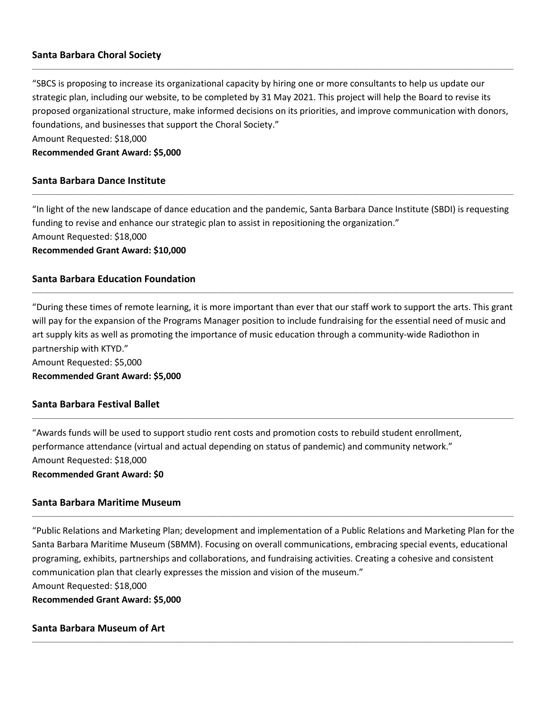## **Santa Barbara Choral Society**

"SBCS is proposing to increase its organizational capacity by hiring one or more consultants to help us update our strategic plan, including our website, to be completed by 31 May 2021. This project will help the Board to revise its proposed organizational structure, make informed decisions on its priorities, and improve communication with donors, foundations, and businesses that support the Choral Society."

\_\_\_\_\_\_\_\_\_\_\_\_\_\_\_\_\_\_\_\_\_\_\_\_\_\_\_\_\_\_\_\_\_\_\_\_\_\_\_\_\_\_\_\_\_\_\_\_\_\_\_\_\_\_\_\_\_\_\_\_\_\_\_\_\_\_\_\_\_\_\_\_\_\_\_\_\_\_\_\_\_\_\_\_\_\_\_\_\_\_\_\_\_\_\_\_\_\_\_\_\_\_\_\_\_\_\_\_\_\_\_\_\_\_\_\_\_\_\_\_\_\_\_\_\_\_\_\_\_\_\_\_\_\_\_\_\_\_\_\_\_\_\_\_\_\_\_\_\_\_\_\_\_\_\_\_\_\_\_\_\_\_\_\_\_\_\_\_\_\_\_\_\_\_\_\_\_\_\_\_

Amount Requested: \$18,000

**Recommended Grant Award: \$5,000**

#### **Santa Barbara Dance Institute**

"In light of the new landscape of dance education and the pandemic, Santa Barbara Dance Institute (SBDI) is requesting funding to revise and enhance our strategic plan to assist in repositioning the organization." Amount Requested: \$18,000 **Recommended Grant Award: \$10,000**

\_\_\_\_\_\_\_\_\_\_\_\_\_\_\_\_\_\_\_\_\_\_\_\_\_\_\_\_\_\_\_\_\_\_\_\_\_\_\_\_\_\_\_\_\_\_\_\_\_\_\_\_\_\_\_\_\_\_\_\_\_\_\_\_\_\_\_\_\_\_\_\_\_\_\_\_\_\_\_\_\_\_\_\_\_\_\_\_\_\_\_\_\_\_\_\_\_\_\_\_\_\_\_\_\_\_\_\_\_\_\_\_\_\_\_\_\_\_\_\_\_\_\_\_\_\_\_\_\_\_\_\_\_\_\_\_\_\_\_\_\_\_\_\_\_\_\_\_\_\_\_\_\_\_\_\_\_\_\_\_\_\_\_\_\_\_\_\_\_\_\_\_\_\_\_\_\_\_\_\_

## **Santa Barbara Education Foundation**

"During these times of remote learning, it is more important than ever that our staff work to support the arts. This grant will pay for the expansion of the Programs Manager position to include fundraising for the essential need of music and art supply kits as well as promoting the importance of music education through a community-wide Radiothon in partnership with KTYD." Amount Requested: \$5,000

\_\_\_\_\_\_\_\_\_\_\_\_\_\_\_\_\_\_\_\_\_\_\_\_\_\_\_\_\_\_\_\_\_\_\_\_\_\_\_\_\_\_\_\_\_\_\_\_\_\_\_\_\_\_\_\_\_\_\_\_\_\_\_\_\_\_\_\_\_\_\_\_\_\_\_\_\_\_\_\_\_\_\_\_\_\_\_\_\_\_\_\_\_\_\_\_\_\_\_\_\_\_\_\_\_\_\_\_\_\_\_\_\_\_\_\_\_\_\_\_\_\_\_\_\_\_\_\_\_\_\_\_\_\_\_\_\_\_\_\_\_\_\_\_\_\_\_\_\_\_\_\_\_\_\_\_\_\_\_\_\_\_\_\_\_\_\_\_\_\_\_\_\_\_\_\_\_\_\_\_

**Recommended Grant Award: \$5,000**

## **Santa Barbara Festival Ballet**

"Awards funds will be used to support studio rent costs and promotion costs to rebuild student enrollment, performance attendance (virtual and actual depending on status of pandemic) and community network." Amount Requested: \$18,000 **Recommended Grant Award: \$0**

## **Santa Barbara Maritime Museum**

"Public Relations and Marketing Plan; development and implementation of a Public Relations and Marketing Plan for the Santa Barbara Maritime Museum (SBMM). Focusing on overall communications, embracing special events, educational programing, exhibits, partnerships and collaborations, and fundraising activities. Creating a cohesive and consistent communication plan that clearly expresses the mission and vision of the museum." Amount Requested: \$18,000 **Recommended Grant Award: \$5,000**

\_\_\_\_\_\_\_\_\_\_\_\_\_\_\_\_\_\_\_\_\_\_\_\_\_\_\_\_\_\_\_\_\_\_\_\_\_\_\_\_\_\_\_\_\_\_\_\_\_\_\_\_\_\_\_\_\_\_\_\_\_\_\_\_\_\_\_\_\_\_\_\_\_\_\_\_\_\_\_\_\_\_\_\_\_\_\_\_\_\_\_\_\_\_\_\_\_\_\_\_\_\_\_\_\_\_\_\_\_\_\_\_\_\_\_\_\_\_\_\_\_\_\_\_\_\_\_\_\_\_\_\_\_\_\_\_\_\_\_\_\_\_\_\_\_\_\_\_\_\_\_\_\_\_\_\_\_\_\_\_\_\_\_\_\_\_\_\_\_\_\_\_\_\_\_\_\_\_\_\_

\_\_\_\_\_\_\_\_\_\_\_\_\_\_\_\_\_\_\_\_\_\_\_\_\_\_\_\_\_\_\_\_\_\_\_\_\_\_\_\_\_\_\_\_\_\_\_\_\_\_\_\_\_\_\_\_\_\_\_\_\_\_\_\_\_\_\_\_\_\_\_\_\_\_\_\_\_\_\_\_\_\_\_\_\_\_\_\_\_\_\_\_\_\_\_\_\_\_\_\_\_\_\_\_\_\_\_\_\_\_\_\_\_\_\_\_\_\_\_\_\_\_\_\_\_\_\_\_\_\_\_\_\_\_\_\_\_\_\_\_\_\_\_\_\_\_\_\_\_\_\_\_\_\_\_\_\_\_\_\_\_\_\_\_\_\_\_\_\_\_\_\_\_\_\_\_\_\_\_\_

#### **Santa Barbara Museum of Art**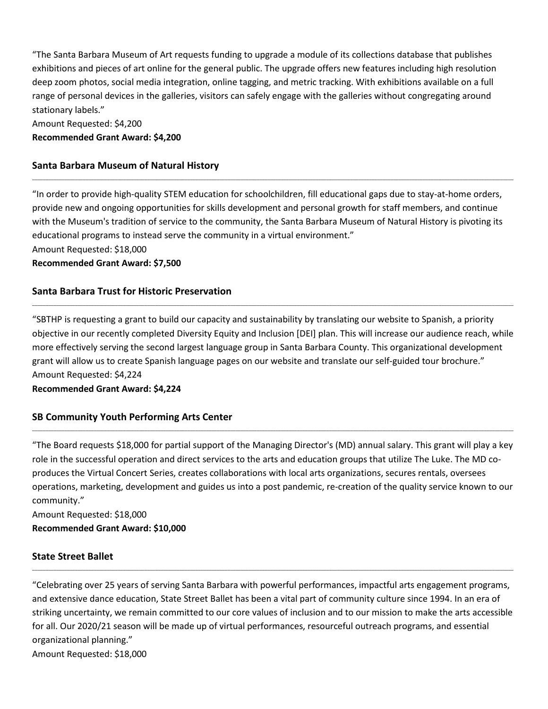"The Santa Barbara Museum of Art requests funding to upgrade a module of its collections database that publishes exhibitions and pieces of art online for the general public. The upgrade offers new features including high resolution deep zoom photos, social media integration, online tagging, and metric tracking. With exhibitions available on a full range of personal devices in the galleries, visitors can safely engage with the galleries without congregating around stationary labels."

Amount Requested: \$4,200 **Recommended Grant Award: \$4,200**

## **Santa Barbara Museum of Natural History**

"In order to provide high-quality STEM education for schoolchildren, fill educational gaps due to stay-at-home orders, provide new and ongoing opportunities for skills development and personal growth for staff members, and continue with the Museum's tradition of service to the community, the Santa Barbara Museum of Natural History is pivoting its educational programs to instead serve the community in a virtual environment."

\_\_\_\_\_\_\_\_\_\_\_\_\_\_\_\_\_\_\_\_\_\_\_\_\_\_\_\_\_\_\_\_\_\_\_\_\_\_\_\_\_\_\_\_\_\_\_\_\_\_\_\_\_\_\_\_\_\_\_\_\_\_\_\_\_\_\_\_\_\_\_\_\_\_\_\_\_\_\_\_\_\_\_\_\_\_\_\_\_\_\_\_\_\_\_\_\_\_\_\_\_\_\_\_\_\_\_\_\_\_\_\_\_\_\_\_\_\_\_\_\_\_\_\_\_\_\_\_\_\_\_\_\_\_\_\_\_\_\_\_\_\_\_\_\_\_\_\_\_\_\_\_\_\_\_\_\_\_\_\_\_\_\_\_\_\_\_\_\_\_\_\_\_\_\_\_\_\_\_\_

Amount Requested: \$18,000

**Recommended Grant Award: \$7,500**

## **Santa Barbara Trust for Historic Preservation**

"SBTHP is requesting a grant to build our capacity and sustainability by translating our website to Spanish, a priority objective in our recently completed Diversity Equity and Inclusion [DEI] plan. This will increase our audience reach, while more effectively serving the second largest language group in Santa Barbara County. This organizational development grant will allow us to create Spanish language pages on our website and translate our self-guided tour brochure." Amount Requested: \$4,224

\_\_\_\_\_\_\_\_\_\_\_\_\_\_\_\_\_\_\_\_\_\_\_\_\_\_\_\_\_\_\_\_\_\_\_\_\_\_\_\_\_\_\_\_\_\_\_\_\_\_\_\_\_\_\_\_\_\_\_\_\_\_\_\_\_\_\_\_\_\_\_\_\_\_\_\_\_\_\_\_\_\_\_\_\_\_\_\_\_\_\_\_\_\_\_\_\_\_\_\_\_\_\_\_\_\_\_\_\_\_\_\_\_\_\_\_\_\_\_\_\_\_\_\_\_\_\_\_\_\_\_\_\_\_\_\_\_\_\_\_\_\_\_\_\_\_\_\_\_\_\_\_\_\_\_\_\_\_\_\_\_\_\_\_\_\_\_\_\_\_\_\_\_\_\_\_\_\_\_\_

**Recommended Grant Award: \$4,224**

## **SB Community Youth Performing Arts Center**

"The Board requests \$18,000 for partial support of the Managing Director's (MD) annual salary. This grant will play a key role in the successful operation and direct services to the arts and education groups that utilize The Luke. The MD coproduces the Virtual Concert Series, creates collaborations with local arts organizations, secures rentals, oversees operations, marketing, development and guides us into a post pandemic, re-creation of the quality service known to our community."

\_\_\_\_\_\_\_\_\_\_\_\_\_\_\_\_\_\_\_\_\_\_\_\_\_\_\_\_\_\_\_\_\_\_\_\_\_\_\_\_\_\_\_\_\_\_\_\_\_\_\_\_\_\_\_\_\_\_\_\_\_\_\_\_\_\_\_\_\_\_\_\_\_\_\_\_\_\_\_\_\_\_\_\_\_\_\_\_\_\_\_\_\_\_\_\_\_\_\_\_\_\_\_\_\_\_\_\_\_\_\_\_\_\_\_\_\_\_\_\_\_\_\_\_\_\_\_\_\_\_\_\_\_\_\_\_\_\_\_\_\_\_\_\_\_\_\_\_\_\_\_\_\_\_\_\_\_\_\_\_\_\_\_\_\_\_\_\_\_\_\_\_\_\_\_\_\_\_\_\_

Amount Requested: \$18,000 **Recommended Grant Award: \$10,000**

## **State Street Ballet**

"Celebrating over 25 years of serving Santa Barbara with powerful performances, impactful arts engagement programs, and extensive dance education, State Street Ballet has been a vital part of community culture since 1994. In an era of striking uncertainty, we remain committed to our core values of inclusion and to our mission to make the arts accessible for all. Our 2020/21 season will be made up of virtual performances, resourceful outreach programs, and essential organizational planning."

\_\_\_\_\_\_\_\_\_\_\_\_\_\_\_\_\_\_\_\_\_\_\_\_\_\_\_\_\_\_\_\_\_\_\_\_\_\_\_\_\_\_\_\_\_\_\_\_\_\_\_\_\_\_\_\_\_\_\_\_\_\_\_\_\_\_\_\_\_\_\_\_\_\_\_\_\_\_\_\_\_\_\_\_\_\_\_\_\_\_\_\_\_\_\_\_\_\_\_\_\_\_\_\_\_\_\_\_\_\_\_\_\_\_\_\_\_\_\_\_\_\_\_\_\_\_\_\_\_\_\_\_\_\_\_\_\_\_\_\_\_\_\_\_\_\_\_\_\_\_\_\_\_\_\_\_\_\_\_\_\_\_\_\_\_\_\_\_\_\_\_\_\_\_\_\_\_\_\_\_

Amount Requested: \$18,000